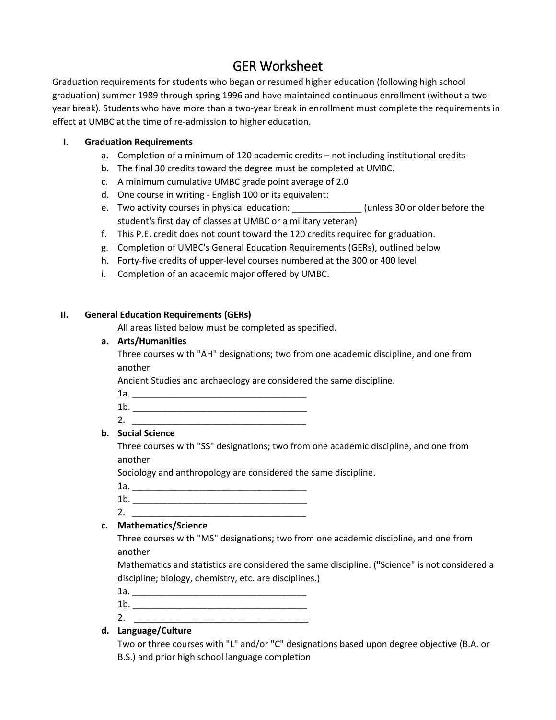# GER Worksheet

Graduation requirements for students who began or resumed higher education (following high school graduation) summer 1989 through spring 1996 and have maintained continuous enrollment (without a twoyear break). Students who have more than a two-year break in enrollment must complete the requirements in effect at UMBC at the time of re-admission to higher education.

### **I. Graduation Requirements**

- a. Completion of a minimum of 120 academic credits not including institutional credits
- b. The final 30 credits toward the degree must be completed at UMBC.
- c. A minimum cumulative UMBC grade point average of 2.0
- d. One course in writing English 100 or its equivalent:
- e. Two activity courses in physical education: \_\_\_\_\_\_\_\_\_\_\_\_\_\_(unless 30 or older before the student's first day of classes at UMBC or a military veteran)
- f. This P.E. credit does not count toward the 120 credits required for graduation.
- g. Completion of UMBC's General Education Requirements (GERs), outlined below
- h. Forty-five credits of upper-level courses numbered at the 300 or 400 level
- i. Completion of an academic major offered by UMBC.

#### **II. General Education Requirements (GERs)**

All areas listed below must be completed as specified.

**a. Arts/Humanities**

Three courses with "AH" designations; two from one academic discipline, and one from another

Ancient Studies and archaeology are considered the same discipline.

1a. \_\_\_\_\_\_\_\_\_\_\_\_\_\_\_\_\_\_\_\_\_\_\_\_\_\_\_\_\_\_\_\_\_\_\_

1b. \_\_\_\_\_\_\_\_\_\_\_\_\_\_\_\_\_\_\_\_\_\_\_\_\_\_\_\_\_\_\_\_\_\_\_

2. \_\_\_\_\_\_\_\_\_\_\_\_\_\_\_\_\_\_\_\_\_\_\_\_\_\_\_\_\_\_\_\_\_\_\_

## **b. Social Science**

Three courses with "SS" designations; two from one academic discipline, and one from another

Sociology and anthropology are considered the same discipline.

- $1a.$
- 1b. \_\_\_\_\_\_\_\_\_\_\_\_\_\_\_\_\_\_\_\_\_\_\_\_\_\_\_\_\_\_\_\_\_\_\_
- $2.$

### **c. Mathematics/Science**

Three courses with "MS" designations; two from one academic discipline, and one from another

Mathematics and statistics are considered the same discipline. ("Science" is not considered a discipline; biology, chemistry, etc. are disciplines.)

- $1a.$ 1b. \_\_\_\_\_\_\_\_\_\_\_\_\_\_\_\_\_\_\_\_\_\_\_\_\_\_\_\_\_\_\_\_\_\_\_
- 2. \_\_\_\_\_\_\_\_\_\_\_\_\_\_\_\_\_\_\_\_\_\_\_\_\_\_\_\_\_\_\_\_\_\_\_

### **d. Language/Culture**

Two or three courses with "L" and/or "C" designations based upon degree objective (B.A. or B.S.) and prior high school language completion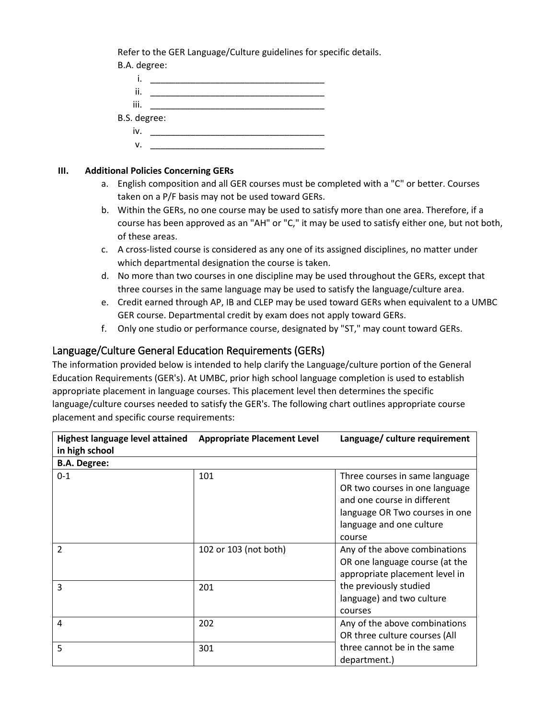Refer to the GER Language/Culture guidelines for specific details. B.A. degree:

| ۱.           |  |  |  |  |
|--------------|--|--|--|--|
| ii.          |  |  |  |  |
| iii.         |  |  |  |  |
| B.S. degree: |  |  |  |  |
| iv.          |  |  |  |  |
| V.           |  |  |  |  |

#### **III. Additional Policies Concerning GERs**

- a. English composition and all GER courses must be completed with a "C" or better. Courses taken on a P/F basis may not be used toward GERs.
- b. Within the GERs, no one course may be used to satisfy more than one area. Therefore, if a course has been approved as an "AH" or "C," it may be used to satisfy either one, but not both, of these areas.
- c. A cross-listed course is considered as any one of its assigned disciplines, no matter under which departmental designation the course is taken.
- d. No more than two courses in one discipline may be used throughout the GERs, except that three courses in the same language may be used to satisfy the language/culture area.
- e. Credit earned through AP, IB and CLEP may be used toward GERs when equivalent to a UMBC GER course. Departmental credit by exam does not apply toward GERs.
- f. Only one studio or performance course, designated by "ST," may count toward GERs.

# Language/Culture General Education Requirements (GERs)

The information provided below is intended to help clarify the Language/culture portion of the General Education Requirements (GER's). At UMBC, prior high school language completion is used to establish appropriate placement in language courses. This placement level then determines the specific language/culture courses needed to satisfy the GER's. The following chart outlines appropriate course placement and specific course requirements:

| Highest language level attained<br>in high school | <b>Appropriate Placement Level</b> | Language/ culture requirement                                                                                                                                           |
|---------------------------------------------------|------------------------------------|-------------------------------------------------------------------------------------------------------------------------------------------------------------------------|
| <b>B.A. Degree:</b>                               |                                    |                                                                                                                                                                         |
| $0 - 1$                                           | 101                                | Three courses in same language<br>OR two courses in one language<br>and one course in different<br>language OR Two courses in one<br>language and one culture<br>course |
| $\overline{2}$                                    | 102 or 103 (not both)              | Any of the above combinations<br>OR one language course (at the<br>appropriate placement level in                                                                       |
| 3                                                 | 201                                | the previously studied<br>language) and two culture<br>courses                                                                                                          |
| 4                                                 | 202                                | Any of the above combinations<br>OR three culture courses (All                                                                                                          |
| 5                                                 | 301                                | three cannot be in the same<br>department.)                                                                                                                             |